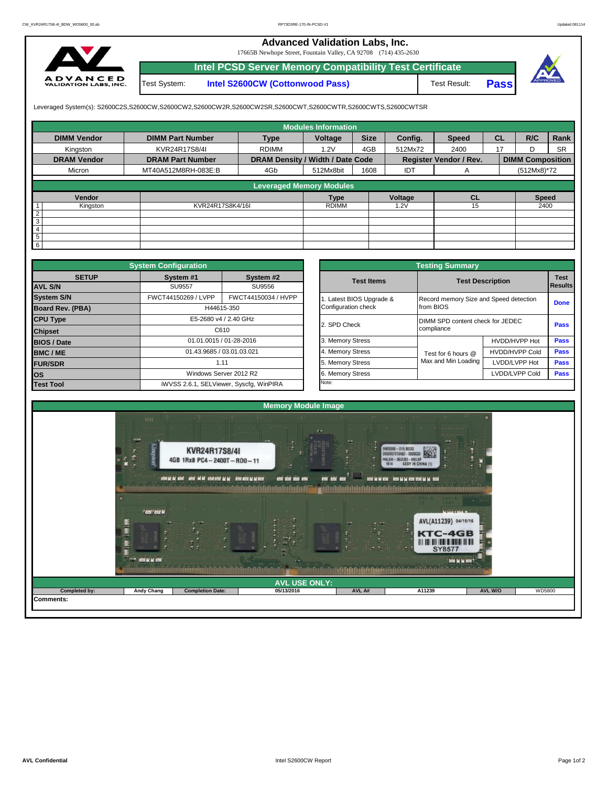## **Advanced Validation Labs, Inc.**

17665B Newhope Street, Fountain Valley, CA 92708 (714) 435-2630



**Intel PCSD Server Memory Compatibility Test Certificate** Test System: **Intel S2600CW (Cottonwood Pass)**

Test Result: **Pass**



Leveraged System(s): S2600C2S,S2600CW,S2600CW2,S2600CW2R,S2600CW2SR,S2600CWT,S2600CWTR,S2600CWTS,S2600CWTSR

|                    |                         |                                  | <b>Modules Information</b> |             |         |                               |           |                         |           |
|--------------------|-------------------------|----------------------------------|----------------------------|-------------|---------|-------------------------------|-----------|-------------------------|-----------|
| <b>DIMM Vendor</b> | <b>DIMM Part Number</b> | <b>Type</b>                      | Voltage                    | <b>Size</b> | Config. | <b>Speed</b>                  | <b>CL</b> | R/C                     | Rank      |
| Kingston           | KVR24R17S8/4I           | <b>RDIMM</b>                     | 1.2V                       | 4GB         | 512Mx72 | 2400                          | 17        | D                       | <b>SR</b> |
| <b>DRAM Vendor</b> | <b>DRAM Part Number</b> | DRAM Density / Width / Date Code |                            |             |         | <b>Register Vendor / Rev.</b> |           | <b>DIMM Composition</b> |           |
| Micron             | MT40A512M8RH-083E:B     | 4Gb                              | 512Mx8bit                  | 1608        | IDT     | A                             |           | (512Mx8)*72             |           |
|                    |                         |                                  |                            |             |         |                               |           |                         |           |
|                    |                         | <b>Leveraged Memory Modules</b>  |                            |             |         |                               |           |                         |           |
| <b>Vendor</b>      |                         |                                  | <b>Type</b>                |             | Voltage | <b>CL</b>                     |           | <b>Speed</b>            |           |
| Kingston           | KVR24R17S8K4/16I        |                                  | <b>RDIMM</b>               |             | 1.2V    | 15                            |           | 2400                    |           |
| 2                  |                         |                                  |                            |             |         |                               |           |                         |           |
| 3                  |                         |                                  |                            |             |         |                               |           |                         |           |
| $\overline{4}$     |                         |                                  |                            |             |         |                               |           |                         |           |
| 5                  |                         |                                  |                            |             |         |                               |           |                         |           |
| 6                  |                         |                                  |                            |             |         |                               |           |                         |           |

|                    | <b>System Configuration</b>             |                           |  |                       | <b>Testing Summary</b> |                                        |             |  |  |
|--------------------|-----------------------------------------|---------------------------|--|-----------------------|------------------------|----------------------------------------|-------------|--|--|
| <b>SETUP</b>       | System #1                               | System #2                 |  | <b>Test Items</b>     |                        | <b>Test Description</b>                | <b>Test</b> |  |  |
| <b>AVL S/N</b>     | <b>SU9557</b>                           | SU9556                    |  |                       |                        |                                        |             |  |  |
| <b>System S/N</b>  | FWCT44150269 / LVPP                     | FWCT44150034 / HVPP       |  | Latest BIOS Upgrade & |                        | Record memory Size and Speed detection |             |  |  |
| Board Rev. (PBA)   |                                         | H44615-350                |  | Configuration check   | from BIOS              |                                        |             |  |  |
| <b>CPU Type</b>    |                                         | E5-2680 v4 / 2.40 GHz     |  | 2. SPD Check          |                        | DIMM SPD content check for JEDEC       |             |  |  |
| <b>Chipset</b>     | C610                                    |                           |  |                       | compliance             |                                        | Pass        |  |  |
| <b>BIOS / Date</b> |                                         | 01.01.0015 / 01-28-2016   |  | 3. Memory Stress      |                        | HVDD/HVPP Hot                          | <b>Pass</b> |  |  |
| <b>BMC/ME</b>      |                                         | 01.43.9685 / 03.01.03.021 |  | 4. Memory Stress      | Test for 6 hours @     | <b>HVDD/HVPP Cold</b>                  | <b>Pass</b> |  |  |
| <b>FUR/SDR</b>     | 1.11                                    |                           |  | 5. Memory Stress      | Max and Min Loading    | LVDD/LVPP Hot                          | Pass        |  |  |
| <b>los</b>         |                                         | Windows Server 2012 R2    |  | 6. Memory Stress      |                        | LVDD/LVPP Cold                         | Pass        |  |  |
| <b>Test Tool</b>   | iWVSS 2.6.1, SELViewer, Syscfq, WinPIRA |                           |  | Note:                 |                        |                                        |             |  |  |

|              | <b>System Configuration</b> |                                         |                       | <b>Testing Summary</b>                 |                                  |                |  |
|--------------|-----------------------------|-----------------------------------------|-----------------------|----------------------------------------|----------------------------------|----------------|--|
| <b>SETUP</b> | System #1                   | System #2                               | <b>Test Items</b>     | <b>Test Description</b>                |                                  | <b>Test</b>    |  |
|              | <b>SU9557</b>               | SU9556                                  |                       |                                        |                                  | <b>Results</b> |  |
|              | FWCT44150269 / LVPP         | FWCT44150034 / HVPP                     | Latest BIOS Upgrade & | Record memory Size and Speed detection |                                  |                |  |
| PBA)         |                             | H44615-350                              | Configuration check   | from BIOS                              |                                  | <b>Done</b>    |  |
|              |                             | E5-2680 v4 / 2.40 GHz                   | 2. SPD Check          |                                        | DIMM SPD content check for JEDEC |                |  |
|              |                             | C610                                    |                       | compliance                             |                                  | Pass           |  |
|              |                             | 01.01.0015 / 01-28-2016                 | 3. Memory Stress      |                                        | HVDD/HVPP Hot                    | Pass           |  |
|              | 01.43.9685 / 03.01.03.021   |                                         | 4. Memory Stress      | Test for 6 hours @                     | <b>HVDD/HVPP Cold</b>            | Pass           |  |
|              |                             | 1.11                                    | 5. Memory Stress      | Max and Min Loading                    | LVDD/LVPP Hot                    | Pass           |  |
|              |                             | Windows Server 2012 R2                  | 6. Memory Stress      |                                        | LVDD/LVPP Cold                   | Pass           |  |
|              |                             | iWVSS 2.6.1, SELViewer, Syscfq, WinPIRA | Note:                 |                                        |                                  |                |  |